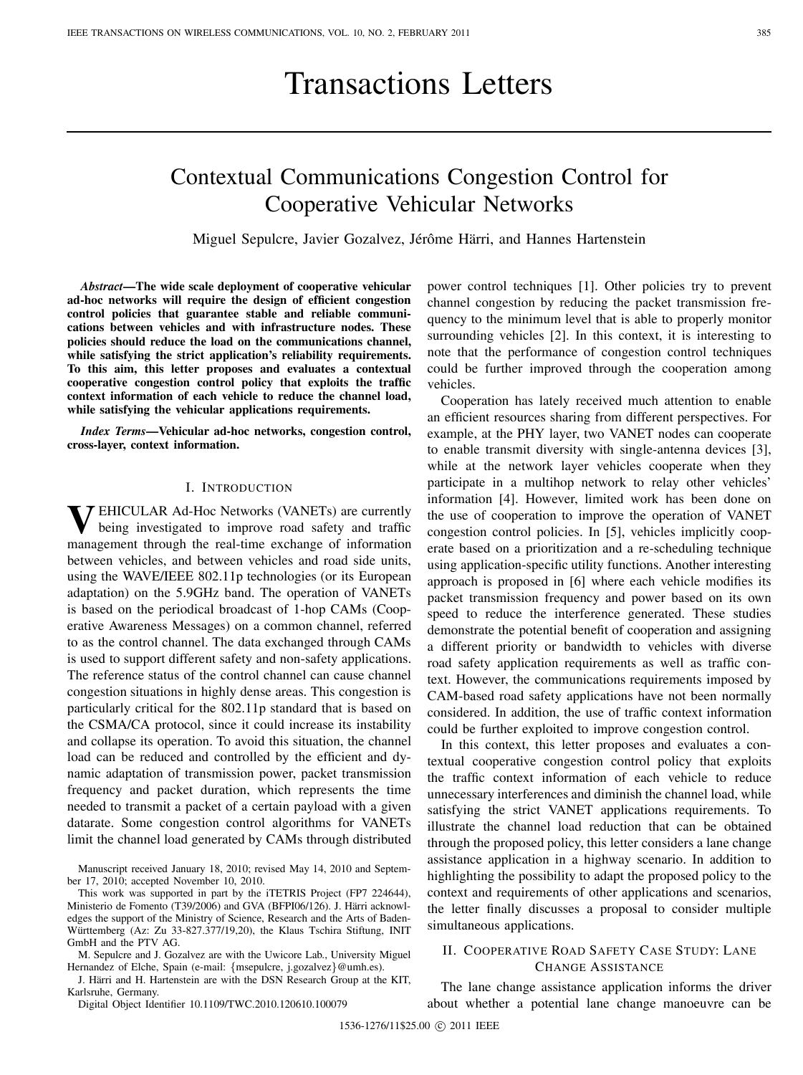# Transactions Letters

# Contextual Communications Congestion Control for Cooperative Vehicular Networks

Miguel Sepulcre, Javier Gozalvez, Jérôme Härri, and Hannes Hartenstein

*Abstract***—The wide scale deployment of cooperative vehicular ad-hoc networks will require the design of efficient congestion control policies that guarantee stable and reliable communications between vehicles and with infrastructure nodes. These policies should reduce the load on the communications channel, while satisfying the strict application's reliability requirements. To this aim, this letter proposes and evaluates a contextual cooperative congestion control policy that exploits the traffic context information of each vehicle to reduce the channel load, while satisfying the vehicular applications requirements.**

*Index Terms***—Vehicular ad-hoc networks, congestion control, cross-layer, context information.**

### I. INTRODUCTION

**V**EHICULAR Ad-Hoc Networks (VANETs) are currently being investigated to improve road safety and traffic management through the real-time exchange of information between vehicles, and between vehicles and road side units, using the WAVE/IEEE 802.11p technologies (or its European adaptation) on the 5.9GHz band. The operation of VANETs is based on the periodical broadcast of 1-hop CAMs (Cooperative Awareness Messages) on a common channel, referred to as the control channel. The data exchanged through CAMs is used to support different safety and non-safety applications. The reference status of the control channel can cause channel congestion situations in highly dense areas. This congestion is particularly critical for the 802.11p standard that is based on the CSMA/CA protocol, since it could increase its instability and collapse its operation. To avoid this situation, the channel load can be reduced and controlled by the efficient and dynamic adaptation of transmission power, packet transmission frequency and packet duration, which represents the time needed to transmit a packet of a certain payload with a given datarate. Some congestion control algorithms for VANETs limit the channel load generated by CAMs through distributed

Manuscript received January 18, 2010; revised May 14, 2010 and September 17, 2010; accepted November 10, 2010.

This work was supported in part by the iTETRIS Project (FP7 224644), Ministerio de Fomento (T39/2006) and GVA (BFPI06/126). J. Härri acknowledges the support of the Ministry of Science, Research and the Arts of Baden-Württemberg (Az: Zu 33-827.377/19,20), the Klaus Tschira Stiftung, INIT GmbH and the PTV AG.

M. Sepulcre and J. Gozalvez are with the Uwicore Lab., University Miguel Hernandez of Elche, Spain (e-mail: {msepulcre, j.gozalvez}@umh.es).

J. Härri and H. Hartenstein are with the DSN Research Group at the KIT, Karlsruhe, Germany.

Digital Object Identifier 10.1109/TWC.2010.120610.100079

power control techniques [1]. Other policies try to prevent channel congestion by reducing the packet transmission frequency to the minimum level that is able to properly monitor surrounding vehicles [2]. In this context, it is interesting to note that the performance of congestion control techniques could be further improved through the cooperation among vehicles.

Cooperation has lately received much attention to enable an efficient resources sharing from different perspectives. For example, at the PHY layer, two VANET nodes can cooperate to enable transmit diversity with single-antenna devices [3], while at the network layer vehicles cooperate when they participate in a multihop network to relay other vehicles' information [4]. However, limited work has been done on the use of cooperation to improve the operation of VANET congestion control policies. In [5], vehicles implicitly cooperate based on a prioritization and a re-scheduling technique using application-specific utility functions. Another interesting approach is proposed in [6] where each vehicle modifies its packet transmission frequency and power based on its own speed to reduce the interference generated. These studies demonstrate the potential benefit of cooperation and assigning a different priority or bandwidth to vehicles with diverse road safety application requirements as well as traffic context. However, the communications requirements imposed by CAM-based road safety applications have not been normally considered. In addition, the use of traffic context information could be further exploited to improve congestion control.

In this context, this letter proposes and evaluates a contextual cooperative congestion control policy that exploits the traffic context information of each vehicle to reduce unnecessary interferences and diminish the channel load, while satisfying the strict VANET applications requirements. To illustrate the channel load reduction that can be obtained through the proposed policy, this letter considers a lane change assistance application in a highway scenario. In addition to highlighting the possibility to adapt the proposed policy to the context and requirements of other applications and scenarios, the letter finally discusses a proposal to consider multiple simultaneous applications.

# II. COOPERATIVE ROAD SAFETY CASE STUDY: LANE CHANGE ASSISTANCE

The lane change assistance application informs the driver about whether a potential lane change manoeuvre can be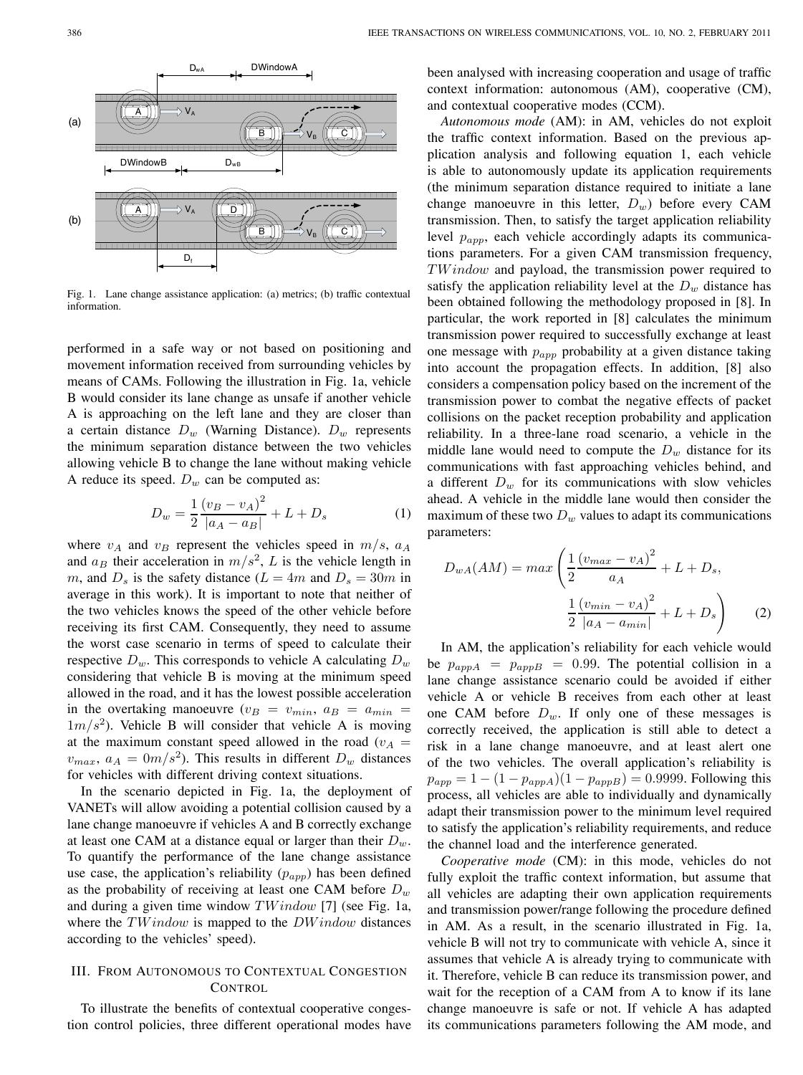

Fig. 1. Lane change assistance application: (a) metrics; (b) traffic contextual information.

performed in a safe way or not based on positioning and movement information received from surrounding vehicles by means of CAMs. Following the illustration in Fig. 1a, vehicle B would consider its lane change as unsafe if another vehicle A is approaching on the left lane and they are closer than a certain distance  $D_w$  (Warning Distance).  $D_w$  represents the minimum separation distance between the two vehicles allowing vehicle B to change the lane without making vehicle A reduce its speed.  $D_w$  can be computed as:

$$
D_w = \frac{1}{2} \frac{(v_B - v_A)^2}{|a_A - a_B|} + L + D_s \tag{1}
$$

where  $v_A$  and  $v_B$  represent the vehicles speed in  $m/s$ ,  $a_A$ and  $a_B$  their acceleration in  $m/s^2$ , L is the vehicle length in m, and  $D_s$  is the safety distance ( $L = 4m$  and  $D_s = 30m$  in average in this work). It is important to note that neither of the two vehicles knows the speed of the other vehicle before receiving its first CAM. Consequently, they need to assume the worst case scenario in terms of speed to calculate their respective  $D_w$ . This corresponds to vehicle A calculating  $D_w$ considering that vehicle B is moving at the minimum speed allowed in the road, and it has the lowest possible acceleration in the overtaking manoeuvre  $(v_B = v_{min}, a_B = a_{min}$  =  $1m/s<sup>2</sup>$ ). Vehicle B will consider that vehicle A is moving at the maximum constant speed allowed in the road ( $v_A$  =  $v_{max}$ ,  $a_A = 0m/s^2$ ). This results in different  $D_w$  distances for vehicles with different driving context situations.

In the scenario depicted in Fig. 1a, the deployment of VANETs will allow avoiding a potential collision caused by a lane change manoeuvre if vehicles A and B correctly exchange at least one CAM at a distance equal or larger than their  $D_w$ . To quantify the performance of the lane change assistance use case, the application's reliability  $(p_{app})$  has been defined as the probability of receiving at least one CAM before  $D_w$ and during a given time window  $TWindow$  [7] (see Fig. 1a, where the  $TWindow$  is mapped to the  $DW$  indow distances according to the vehicles' speed).

## III. FROM AUTONOMOUS TO CONTEXTUAL CONGESTION **CONTROL**

To illustrate the benefits of contextual cooperative congestion control policies, three different operational modes have

been analysed with increasing cooperation and usage of traffic context information: autonomous (AM), cooperative (CM), and contextual cooperative modes (CCM).

*Autonomous mode* (AM): in AM, vehicles do not exploit the traffic context information. Based on the previous application analysis and following equation 1, each vehicle is able to autonomously update its application requirements (the minimum separation distance required to initiate a lane change manoeuvre in this letter,  $D_w$ ) before every CAM transmission. Then, to satisfy the target application reliability level  $p_{app}$ , each vehicle accordingly adapts its communications parameters. For a given CAM transmission frequency,  $TWindow$  and payload, the transmission power required to satisfy the application reliability level at the  $D_w$  distance has been obtained following the methodology proposed in [8]. In particular, the work reported in [8] calculates the minimum transmission power required to successfully exchange at least one message with  $p_{app}$  probability at a given distance taking into account the propagation effects. In addition, [8] also considers a compensation policy based on the increment of the transmission power to combat the negative effects of packet collisions on the packet reception probability and application reliability. In a three-lane road scenario, a vehicle in the middle lane would need to compute the  $D_w$  distance for its communications with fast approaching vehicles behind, and a different  $D_w$  for its communications with slow vehicles ahead. A vehicle in the middle lane would then consider the maximum of these two  $D_w$  values to adapt its communications parameters:

$$
D_{wA}(AM) = max \left( \frac{1}{2} \frac{(v_{max} - v_A)^2}{a_A} + L + D_s, \frac{1}{2} \frac{(v_{min} - v_A)^2}{|a_A - a_{min}|} + L + D_s \right)
$$
 (2)

In AM, the application's reliability for each vehicle would be  $p_{appA} = p_{appB} = 0.99$ . The potential collision in a lane change assistance scenario could be avoided if either vehicle A or vehicle B receives from each other at least one CAM before  $D_w$ . If only one of these messages is correctly received, the application is still able to detect a risk in a lane change manoeuvre, and at least alert one of the two vehicles. The overall application's reliability is  $p_{app} = 1 - (1 - p_{appA})(1 - p_{appB}) = 0.9999$ . Following this process, all vehicles are able to individually and dynamically adapt their transmission power to the minimum level required to satisfy the application's reliability requirements, and reduce the channel load and the interference generated.

*Cooperative mode* (CM): in this mode, vehicles do not fully exploit the traffic context information, but assume that all vehicles are adapting their own application requirements and transmission power/range following the procedure defined in AM. As a result, in the scenario illustrated in Fig. 1a, vehicle B will not try to communicate with vehicle A, since it assumes that vehicle A is already trying to communicate with it. Therefore, vehicle B can reduce its transmission power, and wait for the reception of a CAM from A to know if its lane change manoeuvre is safe or not. If vehicle A has adapted its communications parameters following the AM mode, and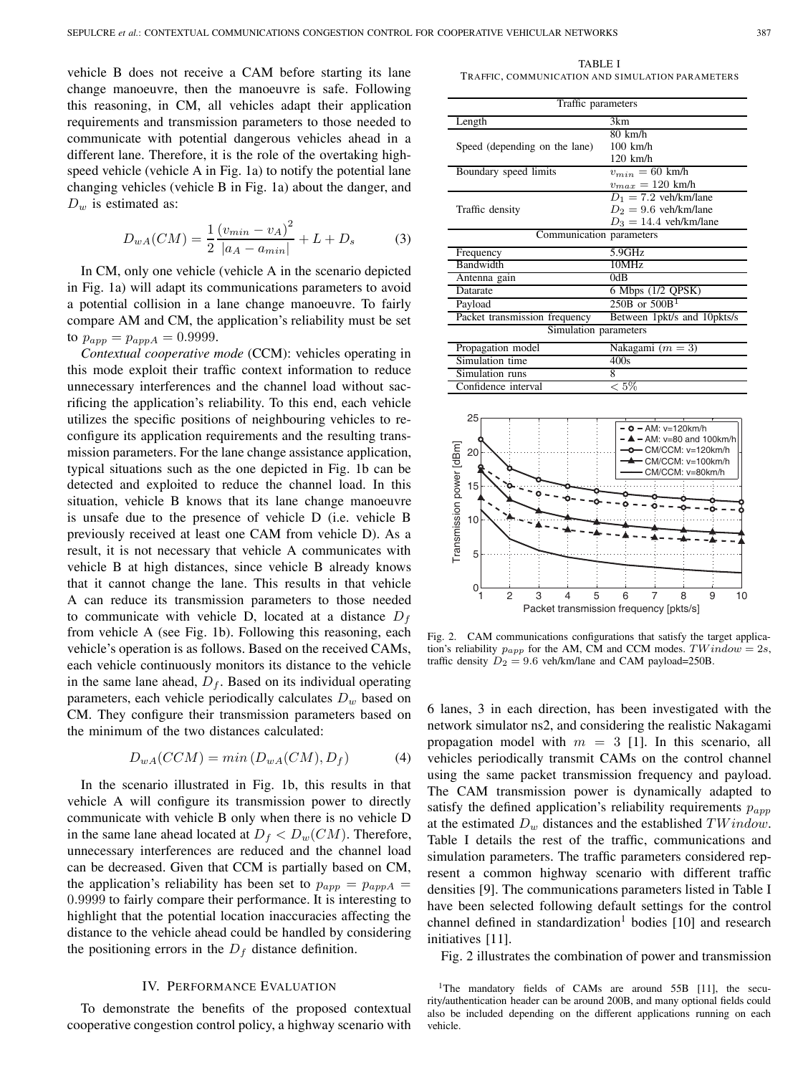vehicle B does not receive a CAM before starting its lane change manoeuvre, then the manoeuvre is safe. Following this reasoning, in CM, all vehicles adapt their application requirements and transmission parameters to those needed to communicate with potential dangerous vehicles ahead in a different lane. Therefore, it is the role of the overtaking highspeed vehicle (vehicle A in Fig. 1a) to notify the potential lane changing vehicles (vehicle B in Fig. 1a) about the danger, and  $D_w$  is estimated as:

$$
D_{wA}(CM) = \frac{1}{2} \frac{(v_{min} - v_A)^2}{|a_A - a_{min}|} + L + D_s \tag{3}
$$

In CM, only one vehicle (vehicle A in the scenario depicted in Fig. 1a) will adapt its communications parameters to avoid a potential collision in a lane change manoeuvre. To fairly compare AM and CM, the application's reliability must be set to  $p_{app} = p_{appA} = 0.9999$ .

*Contextual cooperative mode* (CCM): vehicles operating in this mode exploit their traffic context information to reduce unnecessary interferences and the channel load without sacrificing the application's reliability. To this end, each vehicle utilizes the specific positions of neighbouring vehicles to reconfigure its application requirements and the resulting transmission parameters. For the lane change assistance application, typical situations such as the one depicted in Fig. 1b can be detected and exploited to reduce the channel load. In this situation, vehicle B knows that its lane change manoeuvre is unsafe due to the presence of vehicle D (i.e. vehicle B previously received at least one CAM from vehicle D). As a result, it is not necessary that vehicle A communicates with vehicle B at high distances, since vehicle B already knows that it cannot change the lane. This results in that vehicle A can reduce its transmission parameters to those needed to communicate with vehicle D, located at a distance  $D_f$ from vehicle A (see Fig. 1b). Following this reasoning, each vehicle's operation is as follows. Based on the received CAMs, each vehicle continuously monitors its distance to the vehicle in the same lane ahead,  $D_f$ . Based on its individual operating parameters, each vehicle periodically calculates  $D_w$  based on CM. They configure their transmission parameters based on the minimum of the two distances calculated:

$$
D_{wA}(CCM) = min(D_{wA}(CM), D_f)
$$
 (4)

In the scenario illustrated in Fig. 1b, this results in that vehicle A will configure its transmission power to directly communicate with vehicle B only when there is no vehicle D in the same lane ahead located at  $D_f < D_w(CM)$ . Therefore, unnecessary interferences are reduced and the channel load can be decreased. Given that CCM is partially based on CM, the application's reliability has been set to  $p_{app} = p_{appA} =$ 0.9999 to fairly compare their performance. It is interesting to highlight that the potential location inaccuracies affecting the distance to the vehicle ahead could be handled by considering the positioning errors in the  $D_f$  distance definition.

#### IV. PERFORMANCE EVALUATION

To demonstrate the benefits of the proposed contextual cooperative congestion control policy, a highway scenario with

TABLE I TRAFFIC, COMMUNICATION AND SIMULATION PARAMETERS

| Traffic parameters            |                             |
|-------------------------------|-----------------------------|
| Length                        | 3km                         |
|                               | $80 \text{ km/h}$           |
| Speed (depending on the lane) | $100$ km/h                  |
|                               | $120$ km/h                  |
| Boundary speed limits         | $v_{min} = 60$ km/h         |
|                               | $v_{max} = 120$ km/h        |
|                               | $D_1 = 7.2$ veh/km/lane     |
| Traffic density               | $D_2 = 9.6$ veh/km/lane     |
|                               | $D_3 = 14.4$ veh/km/lane    |
| Communication parameters      |                             |
| Frequency                     | 5.9GHz                      |
| Bandwidth                     | 10MHz                       |
| Antenna gain                  | 0dB                         |
| Datarate                      | 6 Mbps (1/2 QPSK)           |
| Payload                       | $250B$ or $500B1$           |
| Packet transmission frequency | Between 1pkt/s and 10pkts/s |
| Simulation parameters         |                             |
| Propagation model             | Nakagami $(m = 3)$          |
| Simulation time               | 400s                        |
| Simulation runs               | 8                           |
| Confidence interval           | $< 5\%$                     |



Fig. 2. CAM communications configurations that satisfy the target application's reliability  $p_{app}$  for the AM, CM and CCM modes.  $TWindow = 2s$ , traffic density  $D_2 = 9.6$  veh/km/lane and CAM payload=250B.

6 lanes, 3 in each direction, has been investigated with the network simulator ns2, and considering the realistic Nakagami propagation model with  $m = 3$  [1]. In this scenario, all vehicles periodically transmit CAMs on the control channel using the same packet transmission frequency and payload. The CAM transmission power is dynamically adapted to satisfy the defined application's reliability requirements  $p_{amp}$ at the estimated  $D_w$  distances and the established  $TWindow$ . Table I details the rest of the traffic, communications and simulation parameters. The traffic parameters considered represent a common highway scenario with different traffic densities [9]. The communications parameters listed in Table I have been selected following default settings for the control channel defined in standardization<sup>1</sup> bodies  $[10]$  and research initiatives [11].

Fig. 2 illustrates the combination of power and transmission

<sup>&</sup>lt;sup>1</sup>The mandatory fields of CAMs are around 55B [11], the security/authentication header can be around 200B, and many optional fields could also be included depending on the different applications running on each vehicle.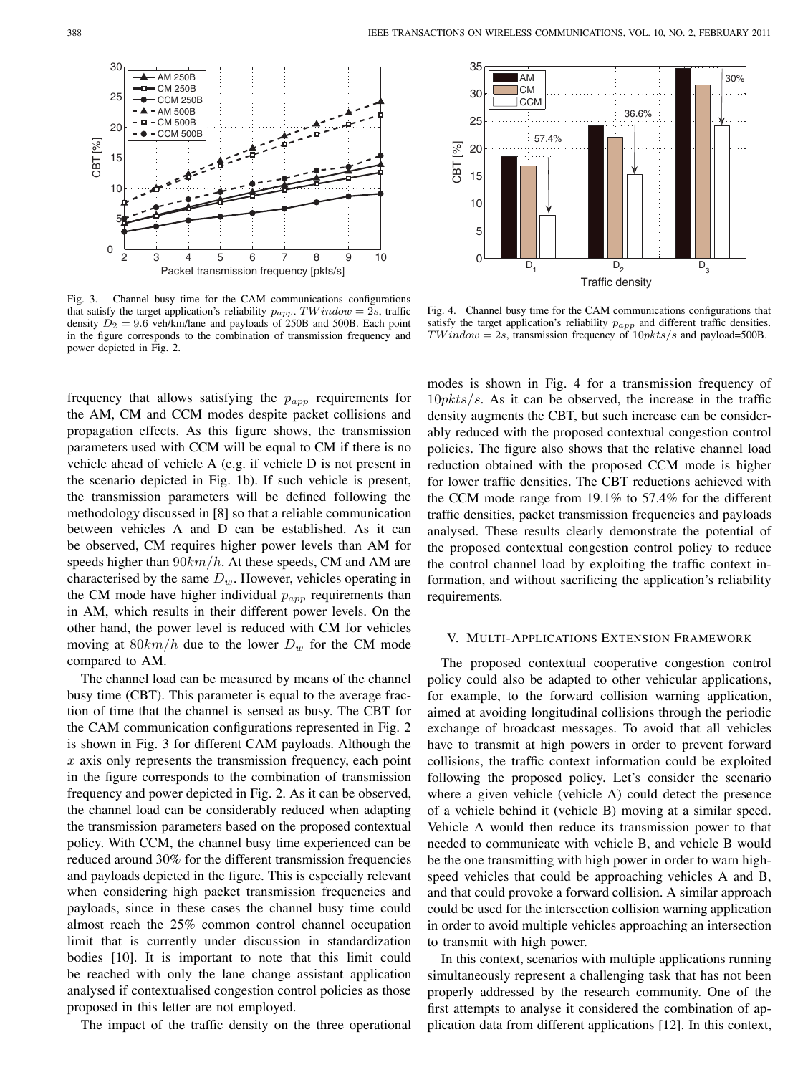

Fig. 3. Channel busy time for the CAM communications configurations that satisfy the target application's reliability  $p_{app}$ . TW indow = 2s, traffic density  $D_2 = 9.6$  veh/km/lane and payloads of 250B and 500B. Each point in the figure corresponds to the combination of transmission frequency and power depicted in Fig. 2.

frequency that allows satisfying the  $p_{app}$  requirements for the AM, CM and CCM modes despite packet collisions and propagation effects. As this figure shows, the transmission parameters used with CCM will be equal to CM if there is no vehicle ahead of vehicle A (e.g. if vehicle D is not present in the scenario depicted in Fig. 1b). If such vehicle is present, the transmission parameters will be defined following the methodology discussed in [8] so that a reliable communication between vehicles A and D can be established. As it can be observed, CM requires higher power levels than AM for speeds higher than  $90km/h$ . At these speeds, CM and AM are characterised by the same  $D_w$ . However, vehicles operating in the CM mode have higher individual  $p_{app}$  requirements than in AM, which results in their different power levels. On the other hand, the power level is reduced with CM for vehicles moving at  $80km/h$  due to the lower  $D_w$  for the CM mode compared to AM.

The channel load can be measured by means of the channel busy time (CBT). This parameter is equal to the average fraction of time that the channel is sensed as busy. The CBT for the CAM communication configurations represented in Fig. 2 is shown in Fig. 3 for different CAM payloads. Although the  $x$  axis only represents the transmission frequency, each point in the figure corresponds to the combination of transmission frequency and power depicted in Fig. 2. As it can be observed, the channel load can be considerably reduced when adapting the transmission parameters based on the proposed contextual policy. With CCM, the channel busy time experienced can be reduced around 30% for the different transmission frequencies and payloads depicted in the figure. This is especially relevant when considering high packet transmission frequencies and payloads, since in these cases the channel busy time could almost reach the 25% common control channel occupation limit that is currently under discussion in standardization bodies [10]. It is important to note that this limit could be reached with only the lane change assistant application analysed if contextualised congestion control policies as those proposed in this letter are not employed.

The impact of the traffic density on the three operational



Fig. 4. Channel busy time for the CAM communications configurations that satisfy the target application's reliability  $p_{app}$  and different traffic densities.  $TWindow = 2s$ , transmission frequency of  $10pkts/s$  and payload=500B.

modes is shown in Fig. 4 for a transmission frequency of  $10pkts/s$ . As it can be observed, the increase in the traffic density augments the CBT, but such increase can be considerably reduced with the proposed contextual congestion control policies. The figure also shows that the relative channel load reduction obtained with the proposed CCM mode is higher for lower traffic densities. The CBT reductions achieved with the CCM mode range from 19.1% to 57.4% for the different traffic densities, packet transmission frequencies and payloads analysed. These results clearly demonstrate the potential of the proposed contextual congestion control policy to reduce the control channel load by exploiting the traffic context information, and without sacrificing the application's reliability requirements.

#### V. MULTI-APPLICATIONS EXTENSION FRAMEWORK

The proposed contextual cooperative congestion control policy could also be adapted to other vehicular applications, for example, to the forward collision warning application, aimed at avoiding longitudinal collisions through the periodic exchange of broadcast messages. To avoid that all vehicles have to transmit at high powers in order to prevent forward collisions, the traffic context information could be exploited following the proposed policy. Let's consider the scenario where a given vehicle (vehicle A) could detect the presence of a vehicle behind it (vehicle B) moving at a similar speed. Vehicle A would then reduce its transmission power to that needed to communicate with vehicle B, and vehicle B would be the one transmitting with high power in order to warn highspeed vehicles that could be approaching vehicles A and B, and that could provoke a forward collision. A similar approach could be used for the intersection collision warning application in order to avoid multiple vehicles approaching an intersection to transmit with high power.

In this context, scenarios with multiple applications running simultaneously represent a challenging task that has not been properly addressed by the research community. One of the first attempts to analyse it considered the combination of application data from different applications [12]. In this context,